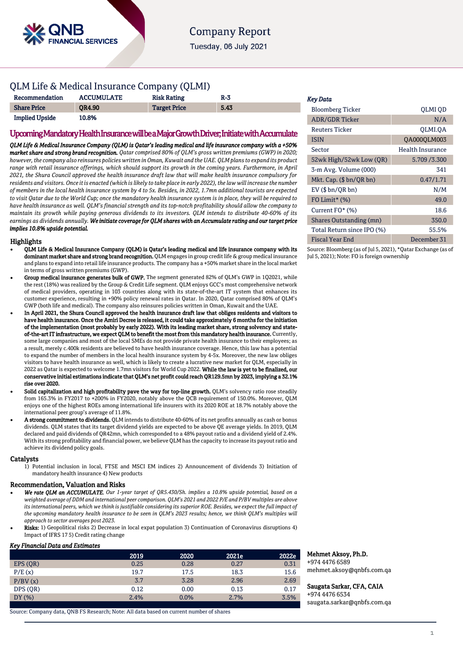

Tuesday, 06 July 2021

### QLM Life & Medical Insurance Company (QLMI)

| Recommendation        | <b>ACCUMULATE</b> | <b>Risk Rating</b>  | $R-3$ |
|-----------------------|-------------------|---------------------|-------|
| <b>Share Price</b>    | <b>OR4.90</b>     | <b>Target Price</b> | 5.43  |
| <b>Implied Upside</b> | 10.8%             |                     |       |

### Upcoming Mandatory Health Insurance will be a Major Growth Driver; Initiate with Accumulate

*QLM Life & Medical Insurance Company (QLM) is Qatar's leading medical and life insurance company with a +50% market share and strong brand recognition. Qatar comprised 80% of QLM's gross written premiums (GWP) in 2020; however, the company also reinsures policies written in Oman, Kuwait and the UAE. QLM plans to expand its product range with retail insurance offerings, which should support its growth in the coming years. Furthermore, in April 2021, the Shura Council approved the health insurance draft law that will make health insurance compulsory for residents and visitors. Once it is enacted (which is likely to take place in early 2022), the law will increase the number of members in the local health insurance system by 4 to 5x. Besides, in 2022, 1.7mn additional tourists are expected to visit Qatar due to the World Cup; once the mandatory health insurance system is in place, they will be required to have health insurance as well. QLM's financial strength and its top-notch profitability should allow the company to maintain its growth while paying generous dividends to its investors. QLM intends to distribute 40-60% of its earnings as dividends annually. We initiate coverage for QLM shares with an Accumulate rating and our target price implies 10.8% upside potential.* 

#### **Highlights**

- QLM Life & Medical Insurance Company (QLM) is Qatar's leading medical and life insurance company with its dominant market share and strong brand recognition. QLM engages in group credit life & group medical insurance and plans to expand into retail life insurance products. The company has a +50% market share in the local market in terms of gross written premiums (GWP).
- Group medical insurance generates bulk of GWP. The segment generated 82% of QLM's GWP in 1Q2021, while the rest (18%) was realized by the Group & Credit Life segment. QLM enjoys GCC's most comprehensive network of medical providers, operating in 103 countries along with its state-of-the-art IT system that enhances its customer experience, resulting in +90% policy renewal rates in Qatar. In 2020, Qatar comprised 80% of QLM's GWP (both life and medical). The company also reinsures policies written in Oman, Kuwait and the UAE.
- In April 2021, the Shura Council approved the health insurance draft law that obliges residents and visitors to have health insurance. Once the Amiri Decree is released, it could take approximately 6 months for the initiation of the implementation (most probably by early 2022). With its leading market share, strong solvency and stateof-the-art IT infrastructure, we expect QLM to benefit the most from this mandatory health insurance. Currently, some large companies and most of the local SMEs do not provide private health insurance to their employees; as a result, merely c.400k residents are believed to have health insurance coverage. Hence, this law has a potential to expand the number of members in the local health insurance system by 4-5x. Moreover, the new law obliges visitors to have health insurance as well, which is likely to create a lucrative new market for QLM, especially in 2022 as Qatar is expected to welcome 1.7mn visitors for World Cup 2022. While the law is vet to be finalized. our conservative initial estimations indicate that QLM's net profit could reach QR129.5mn by 2023, implying a 32.1% rise over 2020.
- Solid capitalization and high profitability pave the way for top-line growth. QLM's solvency ratio rose steadily from 165.3% in FY2017 to +200% in FY2020, notably above the QCB requirement of 150.0%. Moreover, QLM enjoys one of the highest ROEs among international life insurers with its 2020 ROE at 18.7% notably above the international peer group's average of 11.8%.
- A strong commitment to dividends. QLM intends to distribute 40-60% of its net profits annually as cash or bonus dividends. QLM states that its target dividend yields are expected to be above QE average yields. In 2019, QLM declared and paid dividends of QR42mn, which corresponded to a 48% payout ratio and a dividend yield of 2.4%. With its strong profitability and financial power, we believe QLM has the capacity to increase its payout ratio and achieve its dividend policy goals.

#### **Catalysts**

1) Potential inclusion in local, FTSE and MSCI EM indices 2) Announcement of dividends 3) Initiation of mandatory health insurance 4) New products

#### Recommendation, Valuation and Risks

- *We rate QLM an ACCUMULATE. Our 1-year target of QR5.430/Sh. implies a 10.8% upside potential, based on a weighted average of DDM and international peer comparison. QLM's 2021 and 2022 P/E and P/BV multiples are above its international peers, which we think is justifiable considering its superior ROE. Besides, we expect the full impact of the upcoming mandatory health insurance to be seen in QLM's 2023 results; hence, we think QLM's multiples will approach to sector averages post 2023.*
- Risks: 1) Geopolitical risks 2) Decrease in local expat population 3) Continuation of Coronavirus disruptions 4) Impact of IFRS 17 5) Credit rating change

#### *Key Financial Data and Estimates*

|          | 2019 | 2020 | 2021e | 2022e |
|----------|------|------|-------|-------|
| EPS (QR) | 0.25 | 0.28 | 0.27  | 0.31  |
| P/E(x)   | 19.7 | 17.5 | 18.3  | 15.6  |
| P/BV(x)  | 3.7  | 3.28 | 2.96  | 2.69  |
| DPS (QR) | 0.12 | 0.00 | 0.13  | 0.17  |
| DY(%)    | 2.4% | 0.0% | 2.7%  | 3.5%  |

Source: Company data, QNB FS Research; Note: All data based on current number of shares

#### *Key Data*

| <b>Bloomberg Ticker</b>    | <b>OLMI OD</b>          |
|----------------------------|-------------------------|
| <b>ADR/GDR Ticker</b>      | N/A                     |
| Reuters Ticker             | OLMI.OA                 |
| <b>ISIN</b>                | QA000QLM003             |
| Sector                     | <b>Health Insurance</b> |
| 52wk High/52wk Low (QR)    | 5.709 / 3.300           |
| 3-m Avg. Volume (000)      | 341                     |
| Mkt. Cap. $(\$bn/QR bn)$   | 0.47/1.71               |
| $EV$ ( $$bn/QR bn$ )       | N/M                     |
| FO Limit* (%)              | 49.0                    |
| Current FO* (%)            | 18.6                    |
| Shares Outstanding (mn)    | 350.0                   |
| Total Return since IPO (%) | 55.5%                   |
| <b>Fiscal Year End</b>     | December 31             |

Source: Bloomberg (as of Jul 5, 2021), \*Qatar Exchange (as of Jul 5, 2021); Note: FO is foreign ownership

#### Mehmet Aksoy, Ph.D.

+974 4476 6589 mehmet.aksoy@qnbfs.com.qa

Saugata Sarkar, CFA, CAIA +974 4476 6534

[saugata.sarkar@qnbfs.com.qa](mailto:saugata.sarkar@qnbfs.com.qa)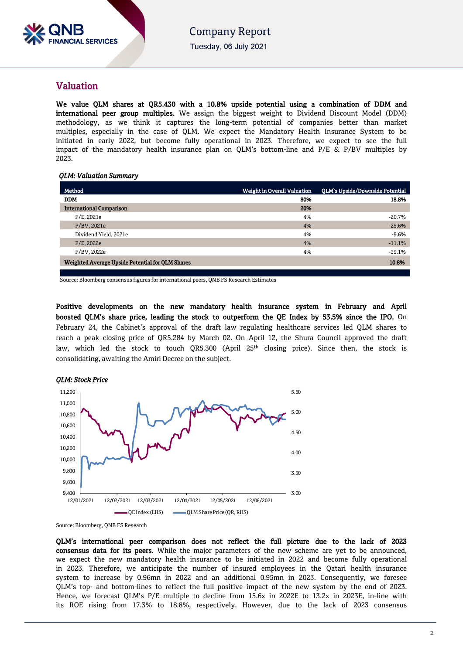

### Valuation

We value QLM shares at QR5.430 with a 10.8% upside potential using a combination of DDM and international peer group multiples. We assign the biggest weight to Dividend Discount Model (DDM) methodology, as we think it captures the long-term potential of companies better than market multiples, especially in the case of QLM. We expect the Mandatory Health Insurance System to be initiated in early 2022, but become fully operational in 2023. Therefore, we expect to see the full impact of the mandatory health insurance plan on QLM's bottom-line and P/E & P/BV multiples by 2023.

### *QLM: Valuation Summary*

| Method                                           | <b>Weight in Overall Valuation</b> | QLM's Upside/Downside Potential |
|--------------------------------------------------|------------------------------------|---------------------------------|
| <b>DDM</b>                                       | 80%                                | 18.8%                           |
| <b>International Comparison</b>                  | 20%                                |                                 |
| P/E, 2021e                                       | 4%                                 | $-20.7%$                        |
| P/BV, 2021e                                      | 4%                                 | $-25.6%$                        |
| Dividend Yield, 2021e                            | 4%                                 | $-9.6%$                         |
| P/E, 2022e                                       | 4%                                 | $-11.1%$                        |
| P/BV, 2022e                                      | 4%                                 | $-39.1%$                        |
| Weighted Average Upside Potential for QLM Shares |                                    | 10.8%                           |
|                                                  |                                    |                                 |

Source: Bloomberg consensus figures for international peers, QNB FS Research Estimates

Positive developments on the new mandatory health insurance system in February and April boosted QLM's share price, leading the stock to outperform the QE Index by 53.5% since the IPO. On February 24, the Cabinet's approval of the draft law regulating healthcare services led QLM shares to reach a peak closing price of QR5.284 by March 02. On April 12, the Shura Council approved the draft law, which led the stock to touch QR5.300 (April 25<sup>th</sup> closing price). Since then, the stock is consolidating, awaiting the Amiri Decree on the subject.



Source: Bloomberg, QNB FS Research

QLM's international peer comparison does not reflect the full picture due to the lack of 2023 consensus data for its peers. While the major parameters of the new scheme are yet to be announced, we expect the new mandatory health insurance to be initiated in 2022 and become fully operational in 2023. Therefore, we anticipate the number of insured employees in the Qatari health insurance system to increase by 0.96mn in 2022 and an additional 0.95mn in 2023. Consequently, we foresee QLM's top- and bottom-lines to reflect the full positive impact of the new system by the end of 2023. Hence, we forecast QLM's P/E multiple to decline from 15.6x in 2022E to 13.2x in 2023E, in-line with its ROE rising from 17.3% to 18.8%, respectively. However, due to the lack of 2023 consensus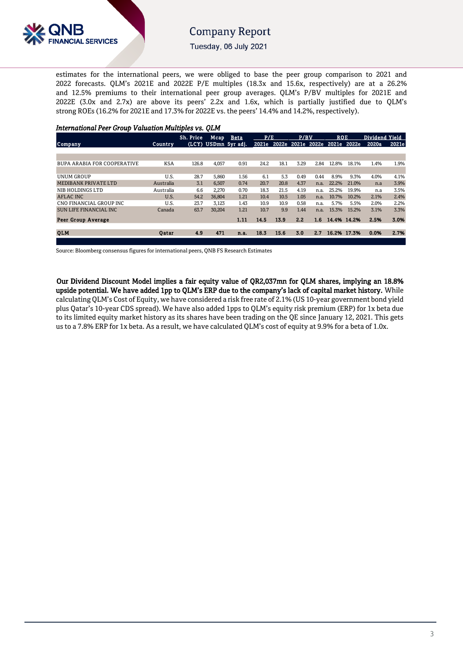

Tuesday, 06 July 2021

estimates for the international peers, we were obliged to base the peer group comparison to 2021 and 2022 forecasts. QLM's 2021E and 2022E P/E multiples (18.3x and 15.6x, respectively) are at a 26.2% and 12.5% premiums to their international peer group averages. QLM's P/BV multiples for 2021E and 2022E (3.0x and 2.7x) are above its peers' 2.2x and 1.6x, which is partially justified due to QLM's strong ROEs (16.2% for 2021E and 17.3% for 2022E vs. the peers' 14.4% and 14.2%, respectively).

| <b>International Peer Group Valuation Multiples vs. OLM</b> |            |           |        |                      |      |                                     |      |      |            |             |                |       |
|-------------------------------------------------------------|------------|-----------|--------|----------------------|------|-------------------------------------|------|------|------------|-------------|----------------|-------|
|                                                             |            | Sh. Price |        | Mcap Beta            | P/E  |                                     | P/BV |      | <b>ROE</b> |             | Dividend Yield |       |
| Company                                                     | Country    |           |        | (LCY) USDmn 5yr adj. |      | 2021e 2022e 2021e 2022e 2021e 2022e |      |      |            |             | 2020a          | 2021e |
|                                                             |            |           |        |                      |      |                                     |      |      |            |             |                |       |
|                                                             |            |           |        |                      |      |                                     |      |      |            |             |                |       |
| <b>BUPA ARABIA FOR COOPERATIVE</b>                          | <b>KSA</b> | 126.8     | 4,057  | 0.91                 | 24.2 | 18.1                                | 3.29 | 2.84 | 12.8%      | 18.1%       | 1.4%           | 1.9%  |
|                                                             |            |           |        |                      |      |                                     |      |      |            |             |                |       |
| UNUM GROUP                                                  | U.S.       | 28.7      | 5,860  | 1.56                 | 6.1  | 5.3                                 | 0.49 | 0.44 | 8.9%       | 9.3%        | 4.0%           | 4.1%  |
| MEDIBANK PRIVATE LTD                                        | Australia  | 3.1       | 6.507  | 0.74                 | 20.7 | 20.8                                | 4.37 | n.a. | 22.2%      | 21.0%       | n.a            | 3.9%  |
| NIB HOLDINGS LTD                                            | Australia  | 6.6       | 2,270  | 0.70                 | 18.3 | 21.5                                | 4.19 | n.a. | 25.2%      | 19.9%       | n.a            | 3.5%  |
| AFLAC INC                                                   | U.S.       | 54.2      | 36,804 | 1.21                 | 10.4 | 10.5                                | 1.05 | n.a. | 10.7%      | 10.2%       | 2.1%           | 2.4%  |
| CNO FINANCIAL GROUP INC                                     | U.S.       | 23.7      | 3,123  | 1.43                 | 10.9 | 10.9                                | 0.58 | n.a. | 5.7%       | 5.5%        | 2.0%           | 2.2%  |
| <b>SUN LIFE FINANCIAL INC</b>                               | Canada     | 63.7      | 30,204 | 1.21                 | 10.7 | 9.9                                 | 1.44 | n.a. | 15.3%      | 15.2%       | 3.1%           | 3.3%  |
| Peer Group Average                                          |            |           |        | 1.11                 | 14.5 | 13.9                                | 2.2  | 1.6  |            | 14.4% 14.2% | 2.5%           | 3.0%  |
| <b>OLM</b>                                                  | Oatar      | 4.9       | 471    | n.a.                 | 18.3 | 15.6                                | 3.0  | 2.7  |            | 16.2% 17.3% | 0.0%           | 2.7%  |
|                                                             |            |           |        |                      |      |                                     |      |      |            |             |                |       |

Source: Bloomberg consensus figures for international peers, QNB FS Research Estimates

Our Dividend Discount Model implies a fair equity value of QR2,037mn for QLM shares, implying an 18.8% upside potential. We have added 1pp to QLM's ERP due to the company's lack of capital market history. While calculating QLM's Cost of Equity, we have considered a risk free rate of 2.1% (US 10-year government bond yield plus Qatar's 10-year CDS spread). We have also added 1pps to QLM's equity risk premium (ERP) for 1x beta due to its limited equity market history as its shares have been trading on the QE since January 12, 2021. This gets us to a 7.8% ERP for 1x beta. As a result, we have calculated QLM's cost of equity at 9.9% for a beta of 1.0x.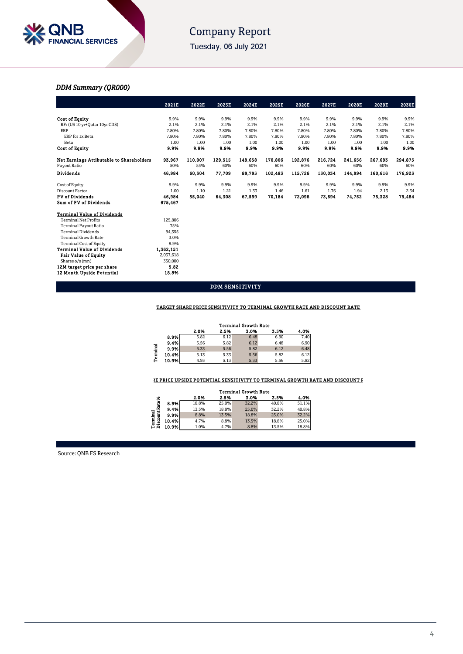

Tuesday, 06 July 2021

### *DDM Summary (QR000)*

|                                                 | 2021E     | 2022E   | 2023E   | 2024E   | 2025E   | 2026E   | 2027E   | 2028E   | 2029E   | 2030E   |
|-------------------------------------------------|-----------|---------|---------|---------|---------|---------|---------|---------|---------|---------|
|                                                 |           |         |         |         |         |         |         |         |         |         |
| <b>Cost of Equity</b>                           | 9.9%      | 9.9%    | 9.9%    | 9.9%    | 9.9%    | 9.9%    | 9.9%    | 9.9%    | 9.9%    | 9.9%    |
| RFr (US 10 yr+Qatar 10yr CDS)                   | 2.1%      | 2.1%    | 2.1%    | 2.1%    | 2.1%    | 2.1%    | 2.1%    | 2.1%    | 2.1%    | 2.1%    |
| ERP                                             | 7.80%     | 7.80%   | 7.80%   | 7.80%   | 7.80%   | 7.80%   | 7.80%   | 7.80%   | 7.80%   | 7.80%   |
| ERP for 1x Beta                                 | 7.80%     | 7.80%   | 7.80%   | 7.80%   | 7.80%   | 7.80%   | 7.80%   | 7.80%   | 7.80%   | 7.80%   |
| Beta                                            | 1.00      | 1.00    | 1.00    | 1.00    | 1.00    | 1.00    | 1.00    | 1.00    | 1.00    | 1.00    |
| <b>Cost of Equity</b>                           | 9.9%      | 9.9%    | 9.9%    | 9.9%    | 9.9%    | 9.9%    | 9.9%    | 9.9%    | 9.9%    | 9.9%    |
| <b>Net Earnings Attibutable to Shareholders</b> | 93,967    | 110,007 | 129,515 | 149,658 | 170,806 | 192,876 | 216,724 | 241,656 | 267,693 | 294,875 |
| Payout Ratio                                    | 50%       | 55%     | 60%     | 60%     | 60%     | 60%     | 60%     | 60%     | 60%     | 60%     |
| Dividends                                       | 46,984    | 60,504  | 77,709  | 89,795  | 102,483 | 115,726 | 130.034 | 144.994 | 160,616 | 176,925 |
| Cost of Equity                                  | 9.9%      | 9.9%    | 9.9%    | 9.9%    | 9.9%    | 9.9%    | 9.9%    | 9.9%    | 9.9%    | 9.9%    |
| Discount Factor                                 | 1.00      | 1.10    | 1.21    | 1.33    | 1.46    | 1.61    | 1.76    | 1.94    | 2.13    | 2.34    |
| <b>PV</b> of Dividends                          | 46.984    | 55,040  | 64,308  | 67,599  | 70,184  | 72,096  | 73,694  | 74,752  | 75,328  | 75,484  |
| <b>Sum of PV of Dividends</b>                   | 675,467   |         |         |         |         |         |         |         |         |         |
| <b>Terminal Value of Dividends</b>              |           |         |         |         |         |         |         |         |         |         |
| <b>Terminal Net Profits</b>                     | 125,806   |         |         |         |         |         |         |         |         |         |
| <b>Terminal Payout Ratio</b>                    | 75%       |         |         |         |         |         |         |         |         |         |
| <b>Terminal Dividends</b>                       | 94,355    |         |         |         |         |         |         |         |         |         |
| <b>Terminal Growth Rate</b>                     | 3.0%      |         |         |         |         |         |         |         |         |         |
| <b>Terminal Cost of Equity</b>                  | 9.9%      |         |         |         |         |         |         |         |         |         |
| <b>Terminal Value of Dividends</b>              | 1,362,151 |         |         |         |         |         |         |         |         |         |
| <b>Fair Value of Equity</b>                     | 2,037,618 |         |         |         |         |         |         |         |         |         |
| Shares o/s (mn)                                 | 350,000   |         |         |         |         |         |         |         |         |         |
| 12M target price per share                      | 5.82      |         |         |         |         |         |         |         |         |         |
| 12 Month Upside Potential                       | 18.8%     |         |         |         |         |         |         |         |         |         |

### DDM SENSITIVITY

#### TARGET SHARE PRICE SENSITIVITY TO TERMINAL GROWTH RATE AND DISCOUNT RATE

|              |       |      |      | <b>Terminal Growth Rate</b> |      |      |
|--------------|-------|------|------|-----------------------------|------|------|
|              |       | 2.0% | 2.5% | 3.0%                        | 3.5% | 4.0% |
|              | 8.9%  | 5.82 | 6.12 | 6.48                        | 6.90 | 7.40 |
|              | 9.4%  | 5.56 | 5.82 | 6.12                        | 6.48 | 6.90 |
| $\mathbf{I}$ | 9.9%  | 5.33 | 5.56 | 5.82                        | 6.12 | 6.48 |
|              | 10.4% | 5.13 | 5.33 | 5.56                        | 5.82 | 6.12 |
| E<br>F       | 10.9% | 4.95 | 5.13 | 5.33                        | 5.56 | 5.82 |

### RE PRICE UP SIDE POTENTIAL SENSITIVITY TO TERMINAL GROWTH RATE AND DISCOUNT **F**

| 2.5%  |       |       |       |
|-------|-------|-------|-------|
|       | 3.0%  | 3.5%  | 4.0%  |
| 25.0% | 32.2% | 40.8% | 51.1% |
| 18.8% | 25.0% | 32.2% | 40.8% |
| 13.5% | 18.8% | 25.0% | 32.2% |
| 8.8%  | 13.5% | 18.8% | 25.0% |
| 4.7%  | 8.8%  | 13.5% | 18.8% |
|       |       |       |       |

Source: QNB FS Research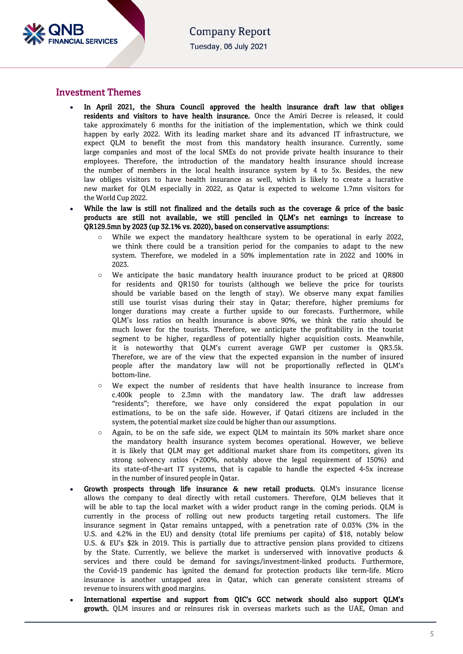

### Investment Themes

- In April 2021, the Shura Council approved the health insurance draft law that obliges residents and visitors to have health insurance. Once the Amiri Decree is released, it could take approximately 6 months for the initiation of the implementation, which we think could happen by early 2022. With its leading market share and its advanced IT infrastructure, we expect QLM to benefit the most from this mandatory health insurance. Currently, some large companies and most of the local SMEs do not provide private health insurance to their employees. Therefore, the introduction of the mandatory health insurance should increase the number of members in the local health insurance system by 4 to 5x. Besides, the new law obliges visitors to have health insurance as well, which is likely to create a lucrative new market for QLM especially in 2022, as Qatar is expected to welcome 1.7mn visitors for the World Cup 2022.
- While the law is still not finalized and the details such as the coverage & price of the basic products are still not available, we still penciled in QLM's net earnings to increase to QR129.5mn by 2023 (up 32.1% vs. 2020), based on conservative assumptions:
	- While we expect the mandatory healthcare system to be operational in early 2022, we think there could be a transition period for the companies to adapt to the new system. Therefore, we modeled in a 50% implementation rate in 2022 and 100% in 2023.
	- We anticipate the basic mandatory health insurance product to be priced at QR800 for residents and QR150 for tourists (although we believe the price for tourists should be variable based on the length of stay). We observe many expat families still use tourist visas during their stay in Qatar; therefore, higher premiums for longer durations may create a further upside to our forecasts. Furthermore, while QLM's loss ratios on health insurance is above 90%, we think the ratio should be much lower for the tourists. Therefore, we anticipate the profitability in the tourist segment to be higher, regardless of potentially higher acquisition costs. Meanwhile, it is noteworthy that QLM's current average GWP per customer is QR3.5k. Therefore, we are of the view that the expected expansion in the number of insured people after the mandatory law will not be proportionally reflected in QLM's bottom-line.
	- We expect the number of residents that have health insurance to increase from c.400k people to 2.3mn with the mandatory law. The draft law addresses "residents"; therefore, we have only considered the expat population in our estimations, to be on the safe side. However, if Qatari citizens are included in the system, the potential market size could be higher than our assumptions.
	- o Again, to be on the safe side, we expect QLM to maintain its 50% market share once the mandatory health insurance system becomes operational. However, we believe it is likely that QLM may get additional market share from its competitors, given its strong solvency ratios (+200%, notably above the legal requirement of 150%) and its state-of-the-art IT systems, that is capable to handle the expected 4-5x increase in the number of insured people in Qatar.
- Growth prospects through life insurance & new retail products. QLM's insurance license allows the company to deal directly with retail customers. Therefore, QLM believes that it will be able to tap the local market with a wider product range in the coming periods. QLM is currently in the process of rolling out new products targeting retail customers. The life insurance segment in Qatar remains untapped, with a penetration rate of 0.03% (3% in the U.S. and 4.2% in the EU) and density (total life premiums per capita) of \$18, notably below U.S. & EU's \$2k in 2019. This is partially due to attractive pension plans provided to citizens by the State. Currently, we believe the market is underserved with innovative products & services and there could be demand for savings/investment-linked products. Furthermore, the Covid-19 pandemic has ignited the demand for protection products like term-life. Micro insurance is another untapped area in Qatar, which can generate consistent streams of revenue to insurers with good margins.
- International expertise and support from QIC's GCC network should also support QLM's growth. QLM insures and or reinsures risk in overseas markets such as the UAE, Oman and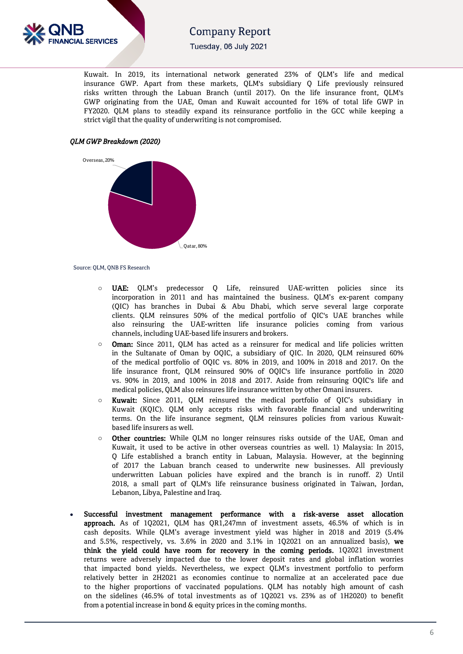

Tuesday, 06 July 2021

Kuwait. In 2019, its international network generated 23% of QLM's life and medical insurance GWP. Apart from these markets, QLM's subsidiary Q Life previously reinsured risks written through the Labuan Branch (until 2017). On the life insurance front, QLM's GWP originating from the UAE, Oman and Kuwait accounted for 16% of total life GWP in FY2020. QLM plans to steadily expand its reinsurance portfolio in the GCC while keeping a strict vigil that the quality of underwriting is not compromised.

### *QLM GWP Breakdown (2020)*



Source: QLM, QNB FS Research

- o UAE: QLM's predecessor Q Life, reinsured UAE-written policies since its incorporation in 2011 and has maintained the business. QLM's ex-parent company (QIC) has branches in Dubai & Abu Dhabi, which serve several large corporate clients. QLM reinsures 50% of the medical portfolio of QIC's UAE branches while also reinsuring the UAE-written life insurance policies coming from various channels, including UAE-based life insurers and brokers.
- Oman: Since 2011, QLM has acted as a reinsurer for medical and life policies written in the Sultanate of Oman by OQIC, a subsidiary of QIC. In 2020, QLM reinsured 60% of the medical portfolio of OQIC vs. 80% in 2019, and 100% in 2018 and 2017. On the life insurance front, QLM reinsured 90% of OQIC's life insurance portfolio in 2020 vs. 90% in 2019, and 100% in 2018 and 2017. Aside from reinsuring OQIC's life and medical policies, QLM also reinsures life insurance written by other Omani insurers.
- Kuwait: Since 2011, QLM reinsured the medical portfolio of QIC's subsidiary in Kuwait (KQIC). QLM only accepts risks with favorable financial and underwriting terms. On the life insurance segment, QLM reinsures policies from various Kuwaitbased life insurers as well.
- Other countries: While QLM no longer reinsures risks outside of the UAE, Oman and Kuwait, it used to be active in other overseas countries as well. 1) Malaysia: In 2015, Q Life established a branch entity in Labuan, Malaysia. However, at the beginning of 2017 the Labuan branch ceased to underwrite new businesses. All previously underwritten Labuan policies have expired and the branch is in runoff. 2) Until 2018, a small part of QLM's life reinsurance business originated in Taiwan, Jordan, Lebanon, Libya, Palestine and Iraq.
- Successful investment management performance with a risk-averse asset allocation approach. As of 1Q2021, QLM has QR1,247mn of investment assets, 46.5% of which is in cash deposits. While QLM's average investment yield was higher in 2018 and 2019 (5.4% and 5.5%, respectively, vs. 3.6% in 2020 and 3.1% in 1Q2021 on an annualized basis), we think the yield could have room for recovery in the coming periods. 1Q2021 investment returns were adversely impacted due to the lower deposit rates and global inflation worries that impacted bond yields. Nevertheless, we expect QLM's investment portfolio to perform relatively better in 2H2021 as economies continue to normalize at an accelerated pace due to the higher proportions of vaccinated populations. QLM has notably high amount of cash on the sidelines (46.5% of total investments as of 1Q2021 vs. 23% as of 1H2020) to benefit from a potential increase in bond & equity prices in the coming months.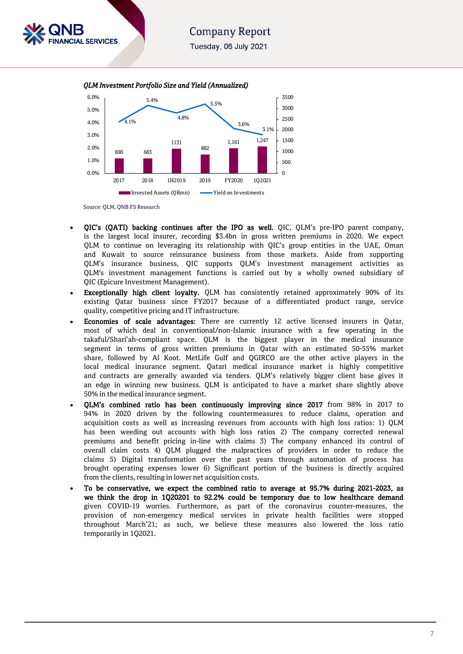Tuesday, 06 July 2021





Source: QLM, QNB FS Research

**SERVICES** 

- QIC's (QATI) backing continues after the IPO as well. QIC, QLM's pre-IPO parent company, is the largest local insurer, recording \$3.4bn in gross written premiums in 2020. We expect QLM to continue on leveraging its relationship with QIC's group entities in the UAE, Oman and Kuwait to source reinsurance business from those markets. Aside from supporting QLM's insurance business, QIC supports QLM's investment management activities as QLM's investment management functions is carried out by a wholly owned subsidiary of QIC (Epicure Investment Management).
- Exceptionally high client loyalty. QLM has consistently retained approximately 90% of its existing Qatar business since FY2017 because of a differentiated product range, service quality, competitive pricing and IT infrastructure.
- Economies of scale advantages: There are currently 12 active licensed insurers in Qatar, most of which deal in conventional/non-Islamic insurance with a few operating in the takaful/Shari'ah-compliant space. QLM is the biggest player in the medical insurance segment in terms of gross written premiums in Qatar with an estimated 50-55% market share, followed by Al Koot. MetLife Gulf and QGIRCO are the other active players in the local medical insurance segment. Qatari medical insurance market is highly competitive and contracts are generally awarded via tenders. QLM's relatively bigger client base gives it an edge in winning new business. QLM is anticipated to have a market share slightly above 50% in the medical insurance segment.
- QLM's combined ratio has been continuously improving since 2017 from 98% in 2017 to 94% in 2020 driven by the following countermeasures to reduce claims, operation and acquisition costs as well as increasing revenues from accounts with high loss ratios: 1) QLM has been weeding out accounts with high loss ratios 2) The company corrected renewal premiums and benefit pricing in-line with claims 3) The company enhanced its control of overall claim costs 4) QLM plugged the malpractices of providers in order to reduce the claims 5) Digital transformation over the past years through automation of process has brought operating expenses lower 6) Significant portion of the business is directly acquired from the clients, resulting in lower net acquisition costs.
- To be conservative, we expect the combined ratio to average at 95.7% during 2021-2023, as we think the drop in 1Q20201 to 92.2% could be temporary due to low healthcare demand given COVID-19 worries. Furthermore, as part of the coronavirus counter-measures, the provision of non-emergency medical services in private health facilities were stopped throughout March'21; as such, we believe these measures also lowered the loss ratio temporarily in 1Q2021.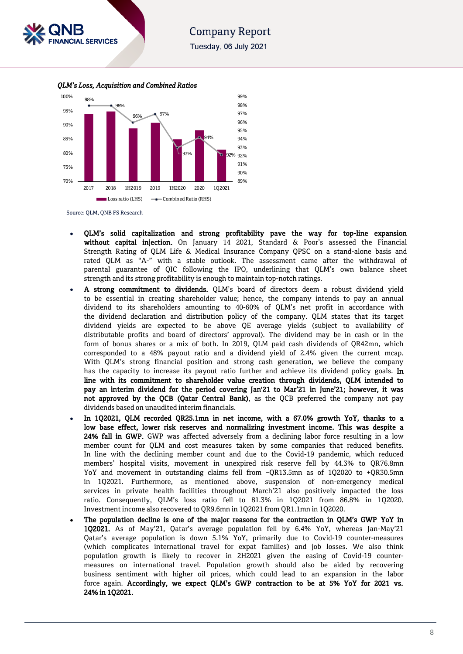

Tuesday, 06 July 2021

 *QLM's Loss, Acquisition and Combined Ratios*



Source: QLM, QNB FS Research

- QLM's solid capitalization and strong profitability pave the way for top-line expansion without capital injection. On January 14 2021, Standard & Poor's assessed the Financial Strength Rating of QLM Life & Medical Insurance Company QPSC on a stand-alone basis and rated QLM as "A-" with a stable outlook. The assessment came after the withdrawal of parental guarantee of QIC following the IPO, underlining that QLM's own balance sheet strength and its strong profitability is enough to maintain top-notch ratings.
- A strong commitment to dividends. QLM's board of directors deem a robust dividend yield to be essential in creating shareholder value; hence, the company intends to pay an annual dividend to its shareholders amounting to 40-60% of QLM's net profit in accordance with the dividend declaration and distribution policy of the company. QLM states that its target dividend yields are expected to be above QE average yields (subject to availability of distributable profits and board of directors' approval). The dividend may be in cash or in the form of bonus shares or a mix of both. In 2019, QLM paid cash dividends of QR42mn, which corresponded to a 48% payout ratio and a dividend yield of 2.4% given the current mcap. With QLM's strong financial position and strong cash generation, we believe the company has the capacity to increase its payout ratio further and achieve its dividend policy goals. In line with its commitment to shareholder value creation through dividends, QLM intended to pay an interim dividend for the period covering Jan'21 to Mar'21 in June'21; however, it was not approved by the QCB (Qatar Central Bank), as the QCB preferred the company not pay dividends based on unaudited interim financials.
- In 1Q2021, QLM recorded QR25.1mn in net income, with a 67.0% growth YoY, thanks to a low base effect, lower risk reserves and normalizing investment income. This was despite a 24% fall in GWP. GWP was affected adversely from a declining labor force resulting in a low member count for QLM and cost measures taken by some companies that reduced benefits. In line with the declining member count and due to the Covid-19 pandemic, which reduced members' hospital visits, movement in unexpired risk reserve fell by 44.3% to QR76.8mn YoY and movement in outstanding claims fell from –QR13.5mn as of 1Q2020 to +QR30.5mn in 1Q2021. Furthermore, as mentioned above, suspension of non-emergency medical services in private health facilities throughout March'21 also positively impacted the loss ratio. Consequently, QLM's loss ratio fell to 81.3% in 1Q2021 from 86.8% in 1Q2020. Investment income also recovered to QR9.6mn in 1Q2021 from QR1.1mn in 1Q2020.
- The population decline is one of the major reasons for the contraction in QLM's GWP YoY in 1Q2021. As of May'21, Qatar's average population fell by 6.4% YoY, whereas Jan-May'21 Qatar's average population is down 5.1% YoY, primarily due to Covid-19 counter-measures (which complicates international travel for expat families) and job losses. We also think population growth is likely to recover in 2H2021 given the easing of Covid-19 countermeasures on international travel. Population growth should also be aided by recovering business sentiment with higher oil prices, which could lead to an expansion in the labor force again. Accordingly, we expect QLM's GWP contraction to be at 5% YoY for 2021 vs. 24% in 1Q2021.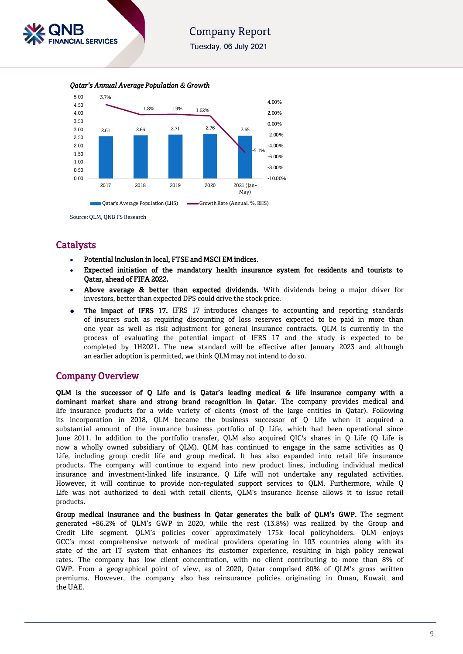

Tuesday, 06 July 2021

2.61 2.66 2.71 2.76 2.65 3.7% 1.8% 1.9% 1.62% -5.1% -10.00% -8.00% -6.00% -4.00% -2.00% 0.00% 2.00% 4.00% 0.00 0.50 1.00 1.50 2.00 2.50 3.00 3.50 4.00 4.50 5.00 2017 2018 2019 2020 2021 (Jan-May) **Constants Average Population (LHS)** Growth Rate (Annual, %, RHS)



Source: QLM, QNB FS Research

### **Catalysts**

- Potential inclusion in local, FTSE and MSCI EM indices.
- Expected initiation of the mandatory health insurance system for residents and tourists to Qatar, ahead of FIFA 2022.
- Above average & better than expected dividends. With dividends being a major driver for investors, better than expected DPS could drive the stock price.
- The impact of IFRS 17. IFRS 17 introduces changes to accounting and reporting standards of insurers such as requiring discounting of loss reserves expected to be paid in more than one year as well as risk adjustment for general insurance contracts. QLM is currently in the process of evaluating the potential impact of IFRS 17 and the study is expected to be completed by 1H2021. The new standard will be effective after January 2023 and although an earlier adoption is permitted, we think QLM may not intend to do so.

### Company Overview

QLM is the successor of Q Life and is Qatar's leading medical & life insurance company with a dominant market share and strong brand recognition in Qatar. The company provides medical and life insurance products for a wide variety of clients (most of the large entities in Qatar). Following its incorporation in 2018, QLM became the business successor of Q Life when it acquired a substantial amount of the insurance business portfolio of Q Life, which had been operational since June 2011. In addition to the portfolio transfer, QLM also acquired QIC's shares in Q Life (Q Life is now a wholly owned subsidiary of QLM). QLM has continued to engage in the same activities as Q Life, including group credit life and group medical. It has also expanded into retail life insurance products. The company will continue to expand into new product lines, including individual medical insurance and investment-linked life insurance. Q Life will not undertake any regulated activities. However, it will continue to provide non-regulated support services to QLM. Furthermore, while Q Life was not authorized to deal with retail clients, QLM's insurance license allows it to issue retail products.

Group medical insurance and the business in Qatar generates the bulk of QLM's GWP. The segment generated +86.2% of QLM's GWP in 2020, while the rest (13.8%) was realized by the Group and Credit Life segment. QLM's policies cover approximately 175k local policyholders. QLM enjoys GCC's most comprehensive network of medical providers operating in 103 countries along with its state of the art IT system that enhances its customer experience, resulting in high policy renewal rates. The company has low client concentration, with no client contributing to more than 8% of GWP. From a geographical point of view, as of 2020, Qatar comprised 80% of QLM's gross written premiums. However, the company also has reinsurance policies originating in Oman, Kuwait and the UAE.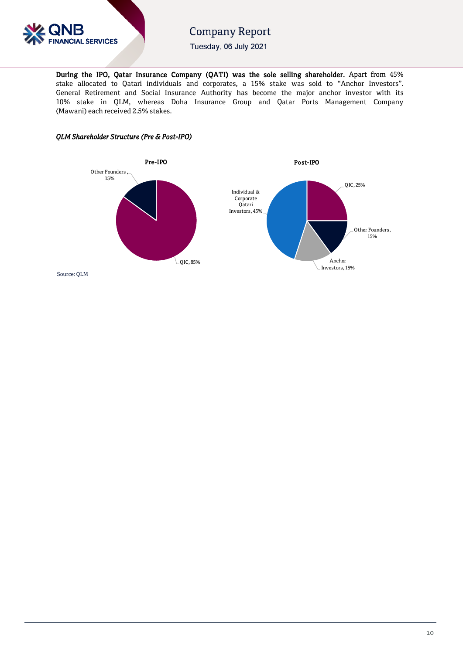

Tuesday, 06 July 2021

During the IPO, Qatar Insurance Company (QATI) was the sole selling shareholder. Apart from 45% stake allocated to Qatari individuals and corporates, a 15% stake was sold to "Anchor Investors". General Retirement and Social Insurance Authority has become the major anchor investor with its 10% stake in QLM, whereas Doha Insurance Group and Qatar Ports Management Company (Mawani) each received 2.5% stakes.

### *QLM Shareholder Structure (Pre & Post-IPO)*



Source: QLM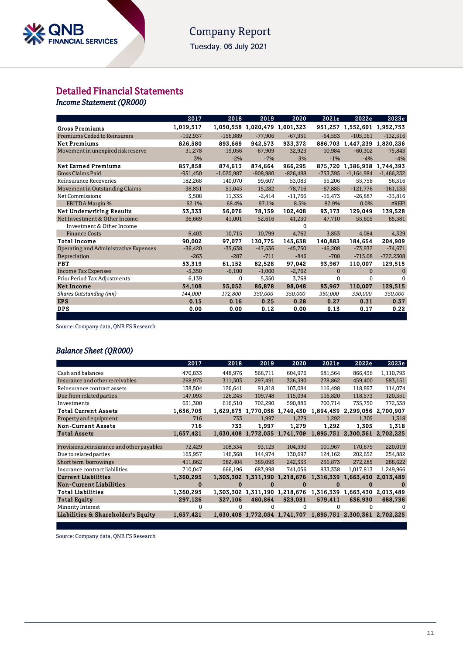### **Company Report** Tuesday, 06 July 2021

### Detailed Financial Statements

*Income Statement (QR000)* 

|                                       | 2017       | 2018         | 2019                          | 2020       | 2021e        | 2022e                       | 2023e        |
|---------------------------------------|------------|--------------|-------------------------------|------------|--------------|-----------------------------|--------------|
| <b>Gross Premiums</b>                 | 1,019,517  |              | 1,050,558 1,020,479 1,001,323 |            |              | 951,257 1,552,601 1,952,753 |              |
| <b>Premiums Ceded to Reinsurers</b>   | $-192,937$ | $-156,889$   | $-77,906$                     | $-67,951$  | $-64.553$    | $-105,361$                  | $-132,516$   |
| <b>Net Premiums</b>                   | 826,580    | 893,669      | 942,573                       | 933,372    |              | 886,703 1,447,239 1,820,236 |              |
| Movement in unexpired risk reserve    | 31,278     | $-19,056$    | $-67,909$                     | 32,923     | $-10,984$    | $-60,302$                   | $-75,843$    |
|                                       | 3%         | $-2%$        | $-7%$                         | 3%         | $-1%$        | $-4%$                       | $-4%$        |
| <b>Net Earned Premiums</b>            | 857,858    | 874,613      | 874,664                       | 966,295    |              | 875,720 1,386,938           | 1,744,393    |
| <b>Gross Claims Paid</b>              | $-951,450$ | $-1,020,987$ | $-908,980$                    | $-826,488$ | $-753,395$   | $-1,164,984$                | $-1,466,232$ |
| Reinsurance Recoveries                | 182,268    | 140,070      | 99,607                        | 53,083     | 55,206       | 55,758                      | 56,316       |
| Movement in Outstanding Claims        | $-38,851$  | 51,045       | 15,282                        | $-78,716$  | $-67,885$    | $-121,776$                  | $-161,133$   |
| Net Commissions                       | 3,508      | 11,335       | $-2,414$                      | $-11,766$  | $-16,473$    | $-26,887$                   | $-33,816$    |
| <b>EBITDA Margin %</b>                | 62.1%      | 68.4%        | 97.1%                         | 8.5%       | 82.9%        | 0.0%                        | #REF!        |
| <b>Net Underwriting Results</b>       | 53,333     | 56,076       | 78,159                        | 102,408    | 93,173       | 129,049                     | 139,528      |
| Net Investment & Other Income         | 36,669     | 41,001       | 52,616                        | 41,230     | 47,710       | 55,605                      | 65,381       |
| Investment & Other Income             |            |              |                               | 0          |              |                             |              |
| <b>Finance Costs</b>                  | 6,403      | 10,715       | 10,799                        | 4,762      | 3,853        | 4,084                       | 4,329        |
| <b>Total Income</b>                   | 90,002     | 97,077       | 130,775                       | 143,638    | 140,883      | 184,654                     | 204,909      |
| Operating and Administrative Expenses | $-36,420$  | $-35,638$    | $-47,536$                     | $-45,750$  | $-46,208$    | $-73,932$                   | $-74,671$    |
| Depreciation                          | $-263$     | $-287$       | $-711$                        | $-846$     | $-708$       | $-715.08$                   | $-722.2308$  |
| <b>PBT</b>                            | 53,319     | 61,152       | 82,528                        | 97,042     | 93,967       | 110,007                     | 129,515      |
| <b>Income Tax Expenses</b>            | $-5,350$   | $-6,100$     | $-1,000$                      | $-2,762$   | $\mathbf{0}$ | $\Omega$                    | $\Omega$     |
| Prior Period Tax Adjustments          | 6,139      | 0            | 5,350                         | 3,768      | $\Omega$     | $\Omega$                    | $\Omega$     |
| <b>Net Income</b>                     | 54,108     | 55,052       | 86,878                        | 98,048     | 93,967       | 110,007                     | 129,515      |
| Shares Outstanding (mn)               | 144,000    | 172,800      | 350,000                       | 350,000    | 350,000      | 350,000                     | 350,000      |
| <b>EPS</b>                            | 0.15       | 0.16         | 0.25                          | 0.28       | 0.27         | 0.31                        | 0.37         |
| <b>DPS</b>                            | 0.00       | 0.00         | 0.12                          | 0.00       | 0.13         | 0.17                        | 0.22         |

Source: Company data, QNB FS Research

### *Balance Sheet (QR000)*

|                                            | 2017      | 2018      | 2019                          | 2020                          | 2021e                                             | 2022e                         | 2023e     |
|--------------------------------------------|-----------|-----------|-------------------------------|-------------------------------|---------------------------------------------------|-------------------------------|-----------|
| Cash and balances                          | 470,833   | 448,976   | 568,711                       | 604,976                       | 681,564                                           | 866,436                       | 1,110,793 |
| Insurance and other receivables            | 268,975   | 311,303   | 297,491                       | 326,390                       | 278,862                                           | 459,400                       | 583,151   |
| Reinsurance contract assets                | 138,504   | 126,641   | 91,818                        | 103,084                       | 116,498                                           | 118,897                       | 114,074   |
| Due from related parties                   | 147,093   | 126,245   | 109,748                       | 115,094                       | 116,820                                           | 118,573                       | 120,351   |
| Investments                                | 631,300   | 616,510   | 702,290                       | 590,886                       | 700,714                                           | 735,750                       | 772,538   |
| <b>Total Current Assets</b>                | 1,656,705 | 1,629,675 |                               | 1,770,058 1,740,430           | 1,894,459                                         | 2,299,056 2,700,907           |           |
| Property and equipment                     | 716       | 733       | 1,997                         | 1,279                         | 1,292                                             | 1,305                         | 1,318     |
| <b>Non-Current Assets</b>                  | 716       | 733       | 1,997                         | 1.279                         | 1,292                                             | 1.305                         | 1,318     |
| <b>Total Assets</b>                        | 1,657,421 |           | 1,630,408 1,772,055 1,741,709 |                               |                                                   | 1,895,751 2,300,361           | 2,702,225 |
|                                            |           |           |                               |                               |                                                   |                               |           |
| Provisions, reinsurance and other payables | 72,429    | 108,334   | 93,123                        | 104,590                       | 101,967                                           | 170,679                       | 220,019   |
| Due to related parties                     | 165,957   | 146,368   | 144,974                       | 130,697                       | 124,162                                           | 202,652                       | 254,882   |
| Short term borrowings                      | 411,862   | 382,404   | 389,095                       | 242,333                       | 256,873                                           | 272,285                       | 288,622   |
| Insurance contract liabilities             | 710,047   | 666,196   | 683,998                       | 741,056                       | 833,338                                           | 1,017,813                     | 1,249,966 |
| <b>Current Liabilities</b>                 | 1,360,295 | 1,303,302 |                               | 1,311,190 1,218,676           | 1,316,339                                         | 1,663,430                     | 2,013,489 |
| <b>Non-Current Liabilities</b>             | 0         | $\Omega$  | 0                             | 0                             | 0                                                 | o                             | $\bf{0}$  |
| <b>Total Liabilities</b>                   | 1,360,295 |           |                               | 1,303,302 1,311,190 1,218,676 |                                                   | 1,316,339 1,663,430 2,013,489 |           |
| <b>Total Equity</b>                        | 297,126   | 327.106   | 460,864                       | 523,031                       | 579,411                                           | 636.930                       | 688.736   |
| Minority Interest                          |           | O         | 0                             | 0                             | 0                                                 |                               |           |
| Liabilities & Shareholder's Equity         | 1,657,421 |           |                               |                               | 1,630,408 1,772,054 1,741,707 1,895,751 2,300,361 |                               | 2,702,225 |
|                                            |           |           |                               |                               |                                                   |                               |           |

Source: Company data, QNB FS Research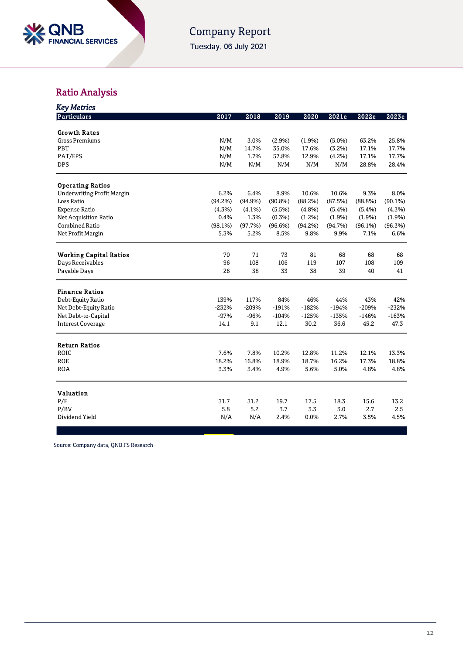

Tuesday, 06 July 2021

## Ratio Analysis

| <b>Key Metrics</b>                |           |           |         |         |           |         |            |
|-----------------------------------|-----------|-----------|---------|---------|-----------|---------|------------|
| <b>Particulars</b>                | 2017      | 2018      | 2019    | 2020    | 2021e     | 2022e   | 2023e      |
| <b>Growth Rates</b>               |           |           |         |         |           |         |            |
| <b>Gross Premiums</b>             | N/M       | 3.0%      | (2.9%)  | (1.9%)  | $(5.0\%)$ | 63.2%   | 25.8%      |
| PBT                               | N/M       | 14.7%     | 35.0%   | 17.6%   | (3.2%)    | 17.1%   | 17.7%      |
| PAT/EPS                           | N/M       | 1.7%      | 57.8%   | 12.9%   | (4.2%)    | 17.1%   | 17.7%      |
| <b>DPS</b>                        | N/M       | N/M       | N/M     | N/M     | N/M       | 28.8%   | 28.4%      |
| <b>Operating Ratios</b>           |           |           |         |         |           |         |            |
| <b>Underwriting Profit Margin</b> | 6.2%      | 6.4%      | 8.9%    | 10.6%   | 10.6%     | 9.3%    | 8.0%       |
| Loss Ratio                        | (94.2%)   | (94.9%)   | (90.8%) | (88.2%) | (87.5%)   | (88.8%) | $(90.1\%)$ |
| <b>Expense Ratio</b>              | $(4.3\%)$ | $(4.1\%)$ | (5.5%)  | (4.8%)  | (5.4%)    | (5.4%)  | (4.3%)     |
| <b>Net Acquisition Ratio</b>      | 0.4%      | 1.3%      | (0.3%)  | (1.2%)  | (1.9%)    | (1.9%)  | (1.9%)     |
| <b>Combined Ratio</b>             | (98.1%)   | (97.7%)   | (96.6%) | (94.2%) | (94.7%)   | (96.1%) | (96.3%)    |
| Net Profit Margin                 | 5.3%      | 5.2%      | 8.5%    | 9.8%    | 9.9%      | 7.1%    | 6.6%       |
| <b>Working Capital Ratios</b>     | 70        | 71        | 73      | 81      | 68        | 68      | 68         |
| Days Receivables                  | 96        | 108       | 106     | 119     | 107       | 108     | 109        |
| Payable Days                      | 26        | 38        | 33      | 38      | 39        | 40      | 41         |
| <b>Finance Ratios</b>             |           |           |         |         |           |         |            |
| Debt-Equity Ratio                 | 139%      | 117%      | 84%     | 46%     | 44%       | 43%     | 42%        |
| Net Debt-Equity Ratio             | $-232%$   | $-209%$   | $-191%$ | $-182%$ | $-194%$   | $-209%$ | $-232%$    |
| Net Debt-to-Capital               | $-97%$    | -96%      | $-104%$ | $-125%$ | $-135%$   | $-146%$ | $-163%$    |
| <b>Interest Coverage</b>          | 14.1      | 9.1       | 12.1    | 30.2    | 36.6      | 45.2    | 47.3       |
| <b>Return Ratios</b>              |           |           |         |         |           |         |            |
| ROIC                              | 7.6%      | 7.8%      | 10.2%   | 12.8%   | 11.2%     | 12.1%   | 13.3%      |
| <b>ROE</b>                        | 18.2%     | 16.8%     | 18.9%   | 18.7%   | 16.2%     | 17.3%   | 18.8%      |
| <b>ROA</b>                        | 3.3%      | 3.4%      | 4.9%    | 5.6%    | 5.0%      | 4.8%    | 4.8%       |
|                                   |           |           |         |         |           |         |            |
| <b>Valuation</b><br>P/E           | 31.7      | 31.2      | 19.7    | 17.5    | 18.3      | 15.6    | 13.2       |
| P/BV                              | 5.8       | 5.2       | 3.7     | 3.3     | 3.0       | 2.7     | 2.5        |
| Dividend Yield                    | N/A       | N/A       | 2.4%    | 0.0%    | 2.7%      | 3.5%    | 4.5%       |
|                                   |           |           |         |         |           |         |            |

Source: Company data, QNB FS Research